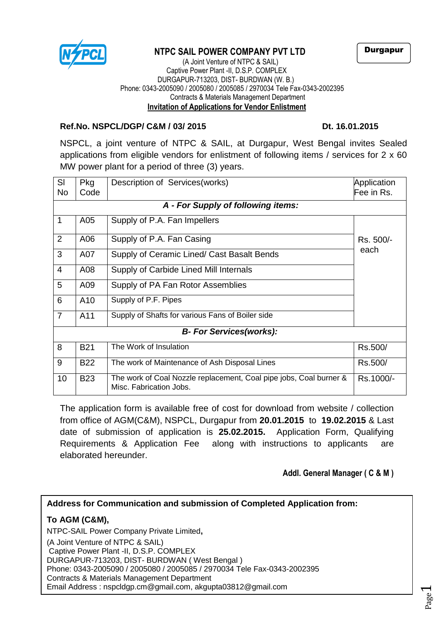

# **NTPC SAIL POWER COMPANY PVT LTD**

Durgapur

 (A Joint Venture of NTPC & SAIL) Captive Power Plant -II, D.S.P. COMPLEX DURGAPUR-713203, DIST- BURDWAN (W. B.) Phone: 0343-2005090 / 2005080 / 2005085 / 2970034 Tele Fax-0343-2002395 Contracts & Materials Management Department **Invitation of Applications for Vendor Enlistment**

#### **Ref.No. NSPCL/DGP/ C&M / 03/ 2015 Dt. 16.01.2015**

NSPCL, a joint venture of NTPC & SAIL, at Durgapur, West Bengal invites Sealed applications from eligible vendors for enlistment of following items / services for 2 x 60 MW power plant for a period of three (3) years.

| SI                              | Pkg                                | Description of Services (works)                                                               | Application |  |  |  |  |  |  |
|---------------------------------|------------------------------------|-----------------------------------------------------------------------------------------------|-------------|--|--|--|--|--|--|
| No.                             | Code                               |                                                                                               | Fee in Rs.  |  |  |  |  |  |  |
|                                 | A - For Supply of following items: |                                                                                               |             |  |  |  |  |  |  |
| 1                               | A05                                | Supply of P.A. Fan Impellers                                                                  |             |  |  |  |  |  |  |
| 2                               | A06                                | Supply of P.A. Fan Casing                                                                     | Rs. 500/-   |  |  |  |  |  |  |
| 3                               | A07                                | Supply of Ceramic Lined/ Cast Basalt Bends                                                    | each        |  |  |  |  |  |  |
| $\overline{4}$                  | A08                                | Supply of Carbide Lined Mill Internals                                                        |             |  |  |  |  |  |  |
| 5                               | A09                                | Supply of PA Fan Rotor Assemblies                                                             |             |  |  |  |  |  |  |
| 6                               |                                    |                                                                                               |             |  |  |  |  |  |  |
| $\overline{7}$                  | A11                                | Supply of Shafts for various Fans of Boiler side                                              |             |  |  |  |  |  |  |
| <b>B- For Services (works):</b> |                                    |                                                                                               |             |  |  |  |  |  |  |
| 8                               | <b>B21</b>                         | The Work of Insulation                                                                        | Rs.500/     |  |  |  |  |  |  |
| 9                               | <b>B22</b>                         | The work of Maintenance of Ash Disposal Lines                                                 | Rs.500/     |  |  |  |  |  |  |
| 10                              | <b>B23</b>                         | The work of Coal Nozzle replacement, Coal pipe jobs, Coal burner &<br>Misc. Fabrication Jobs. | Rs.1000/-   |  |  |  |  |  |  |

The application form is available free of cost for download from website / collection from office of AGM(C&M), NSPCL, Durgapur from **20.01.2015** to **19.02.2015** & Last date of submission of application is **25.02.2015.** Application Form, Qualifying Requirements & Application Fee along with instructions to applicants are elaborated hereunder.

**Addl. General Manager ( C & M )** 

#### **Address for Communication and submission of Completed Application from:**

## **To AGM (C&M),**

NTPC-SAIL Power Company Private Limited**,** (A Joint Venture of NTPC & SAIL) Captive Power Plant -II, D.S.P. COMPLEX DURGAPUR-713203, DIST- BURDWAN ( West Bengal ) Phone: 0343-2005090 / 2005080 / 2005085 / 2970034 Tele Fax-0343-2002395 Contracts & Materials Management Department Email Address : [nspcldgp.cm@gmail.com,](mailto:nspcldgp.cm@gmail.com) akgupta03812@gmail.com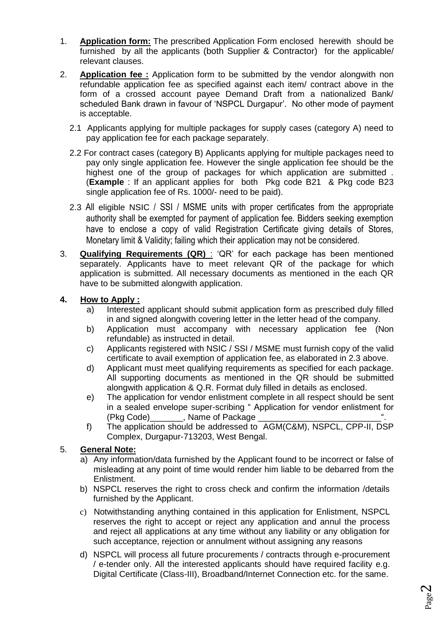- 1. **Application form:** The prescribed Application Form enclosed herewith should be furnished by all the applicants (both Supplier & Contractor) for the applicable/ relevant clauses.
- 2. **Application fee :** Application form to be submitted by the vendor alongwith non refundable application fee as specified against each item/ contract above in the form of a crossed account payee Demand Draft from a nationalized Bank/ scheduled Bank drawn in favour of 'NSPCL Durgapur'. No other mode of payment is acceptable.
	- 2.1 Applicants applying for multiple packages for supply cases (category A) need to pay application fee for each package separately.
	- 2.2 For contract cases (category B) Applicants applying for multiple packages need to pay only single application fee. However the single application fee should be the highest one of the group of packages for which application are submitted . (**Example** : If an applicant applies for both Pkg code B21 & Pkg code B23 single application fee of Rs. 1000/- need to be paid).
	- 2.3 All eligible NSIC / SSI / MSME units with proper certificates from the appropriate authority shall be exempted for payment of application fee. Bidders seeking exemption have to enclose a copy of valid Registration Certificate giving details of Stores, Monetary limit & Validity; failing which their application may not be considered.
- 3. **Qualifying Requirements (QR)** : 'QR' for each package has been mentioned separately. Applicants have to meet relevant QR of the package for which application is submitted. All necessary documents as mentioned in the each QR have to be submitted alongwith application.

#### **4. How to Apply :**

- a) Interested applicant should submit application form as prescribed duly filled in and signed alongwith covering letter in the letter head of the company.
- b) Application must accompany with necessary application fee (Non refundable) as instructed in detail.
- c) Applicants registered with NSIC / SSI / MSME must furnish copy of the valid certificate to avail exemption of application fee, as elaborated in 2.3 above.
- d) Applicant must meet qualifying requirements as specified for each package. All supporting documents as mentioned in the QR should be submitted alongwith application & Q.R. Format duly filled in details as enclosed.
- e) The application for vendor enlistment complete in all respect should be sent in a sealed envelope super-scribing " Application for vendor enlistment for (Pkg Code)\_\_\_\_\_\_\_, Name of Package \_\_\_\_\_\_
- f) The application should be addressed to AGM(C&M), NSPCL, CPP-II, DSP Complex, Durgapur-713203, West Bengal.

#### 5. **General Note:**

- a) Any information/data furnished by the Applicant found to be incorrect or false of misleading at any point of time would render him liable to be debarred from the Enlistment.
- b) NSPCL reserves the right to cross check and confirm the information /details furnished by the Applicant.
- c) Notwithstanding anything contained in this application for Enlistment, NSPCL reserves the right to accept or reject any application and annul the process and reject all applications at any time without any liability or any obligation for such acceptance, rejection or annulment without assigning any reasons
- d) NSPCL will process all future procurements / contracts through e-procurement / e-tender only. All the interested applicants should have required facility e.g. Digital Certificate (Class-III), Broadband/Internet Connection etc. for the same.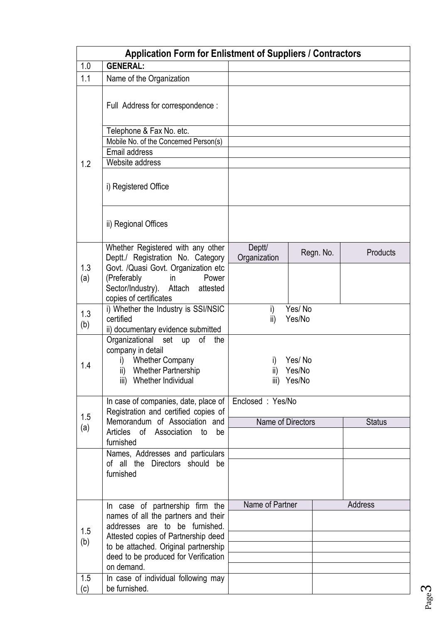|            | <b>Application Form for Enlistment of Suppliers / Contractors</b>     |                   |             |               |
|------------|-----------------------------------------------------------------------|-------------------|-------------|---------------|
| 1.0        | <b>GENERAL:</b>                                                       |                   |             |               |
| 1.1        | Name of the Organization                                              |                   |             |               |
|            | Full Address for correspondence :                                     |                   |             |               |
|            | Telephone & Fax No. etc.                                              |                   |             |               |
|            | Mobile No. of the Concerned Person(s)                                 |                   |             |               |
|            | Email address                                                         |                   |             |               |
| 1.2        | Website address                                                       |                   |             |               |
|            | i) Registered Office                                                  |                   |             |               |
|            | ii) Regional Offices                                                  |                   |             |               |
|            | Whether Registered with any other                                     | Deptt/            | Regn. No.   | Products      |
|            | Deptt./ Registration No. Category                                     | Organization      |             |               |
| 1.3<br>(a) | Govt. /Quasi Govt. Organization etc<br>(Preferably<br>Power<br>in     |                   |             |               |
|            | Sector/Industry).<br>Attach<br>attested                               |                   |             |               |
|            | copies of certificates                                                |                   |             |               |
| 1.3        | i) Whether the Industry is SSI/NSIC                                   | i)                | Yes/No      |               |
| (b)        | certified                                                             | ii)               | Yes/No      |               |
|            | ii) documentary evidence submitted                                    |                   |             |               |
|            | Organizational<br>set<br>of<br>up<br>the                              |                   |             |               |
|            | company in detail<br><b>Whether Company</b>                           |                   | Yes/No      |               |
| 1.4        | i)<br><b>Whether Partnership</b><br>ii)                               | I)<br>ii)         | Yes/No      |               |
|            | iii) Whether Individual                                               |                   | iii) Yes/No |               |
|            |                                                                       |                   |             |               |
|            | In case of companies, date, place of                                  | Enclosed: Yes/No  |             |               |
| 1.5        | Registration and certified copies of                                  |                   |             |               |
| (a)        | Memorandum of Association and                                         | Name of Directors |             | <b>Status</b> |
|            | Articles of Association<br>be<br>to<br>furnished                      |                   |             |               |
|            | Names, Addresses and particulars                                      |                   |             |               |
|            | of all the Directors should be                                        |                   |             |               |
|            | furnished                                                             |                   |             |               |
|            |                                                                       |                   |             |               |
|            |                                                                       |                   |             |               |
|            | In case of partnership firm the                                       | Name of Partner   |             | Address       |
|            | names of all the partners and their<br>addresses are to be furnished. |                   |             |               |
| 1.5        | Attested copies of Partnership deed                                   |                   |             |               |
| (b)        | to be attached. Original partnership                                  |                   |             |               |
|            | deed to be produced for Verification                                  |                   |             |               |
|            | on demand.                                                            |                   |             |               |
| 1.5        | In case of individual following may                                   |                   |             |               |
| (c)        | be furnished.                                                         |                   |             |               |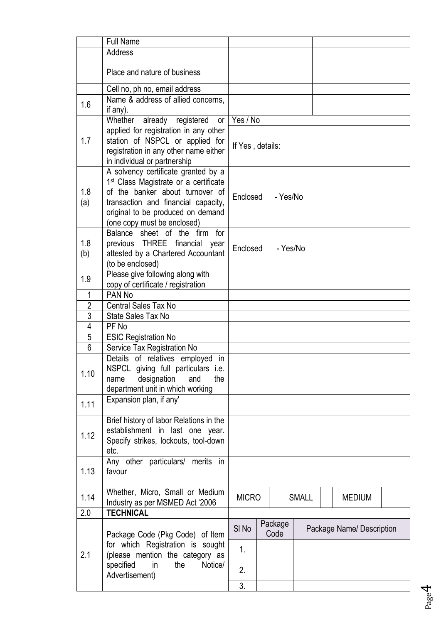|                | <b>Full Name</b>                                                        |                  |  |         |          |              |  |                           |  |
|----------------|-------------------------------------------------------------------------|------------------|--|---------|----------|--------------|--|---------------------------|--|
|                | <b>Address</b>                                                          |                  |  |         |          |              |  |                           |  |
|                |                                                                         |                  |  |         |          |              |  |                           |  |
|                | Place and nature of business                                            |                  |  |         |          |              |  |                           |  |
|                | Cell no, ph no, email address                                           |                  |  |         |          |              |  |                           |  |
| 1.6            | Name & address of allied concerns,                                      |                  |  |         |          |              |  |                           |  |
|                | if $any$ ).                                                             |                  |  |         |          |              |  |                           |  |
|                | Whether<br>already registered<br>or                                     | Yes / No         |  |         |          |              |  |                           |  |
|                | applied for registration in any other                                   |                  |  |         |          |              |  |                           |  |
| 1.7            | station of NSPCL or applied for                                         | If Yes, details: |  |         |          |              |  |                           |  |
|                | registration in any other name either                                   |                  |  |         |          |              |  |                           |  |
|                | in individual or partnership                                            |                  |  |         |          |              |  |                           |  |
|                | A solvency certificate granted by a                                     |                  |  |         |          |              |  |                           |  |
|                | 1 <sup>st</sup> Class Magistrate or a certificate                       |                  |  |         |          |              |  |                           |  |
| 1.8            | of the banker about turnover of                                         | Enclosed         |  |         | - Yes/No |              |  |                           |  |
| (a)            | transaction and financial capacity,                                     |                  |  |         |          |              |  |                           |  |
|                | original to be produced on demand                                       |                  |  |         |          |              |  |                           |  |
|                | (one copy must be enclosed)<br>Balance sheet of the firm<br>for         |                  |  |         |          |              |  |                           |  |
| 1.8            | previous THREE financial<br>year                                        |                  |  |         |          |              |  |                           |  |
| (b)            | attested by a Chartered Accountant                                      | Enclosed         |  |         | - Yes/No |              |  |                           |  |
|                | (to be enclosed)                                                        |                  |  |         |          |              |  |                           |  |
|                | Please give following along with                                        |                  |  |         |          |              |  |                           |  |
| 1.9            | copy of certificate / registration                                      |                  |  |         |          |              |  |                           |  |
| $\mathbf{1}$   | PAN <sub>No</sub>                                                       |                  |  |         |          |              |  |                           |  |
| $\overline{2}$ | <b>Central Sales Tax No</b>                                             |                  |  |         |          |              |  |                           |  |
| $\overline{3}$ | State Sales Tax No                                                      |                  |  |         |          |              |  |                           |  |
| $\overline{4}$ | PF No                                                                   |                  |  |         |          |              |  |                           |  |
| $\overline{5}$ | <b>ESIC Registration No</b>                                             |                  |  |         |          |              |  |                           |  |
| 6              | Service Tax Registration No                                             |                  |  |         |          |              |  |                           |  |
|                | Details of relatives employed in                                        |                  |  |         |          |              |  |                           |  |
| 1.10           | NSPCL giving full particulars i.e.<br>designation<br>and<br>the<br>name |                  |  |         |          |              |  |                           |  |
|                | department unit in which working                                        |                  |  |         |          |              |  |                           |  |
|                | Expansion plan, if any'                                                 |                  |  |         |          |              |  |                           |  |
| 1.11           |                                                                         |                  |  |         |          |              |  |                           |  |
|                | Brief history of labor Relations in the                                 |                  |  |         |          |              |  |                           |  |
| 1.12           | establishment in last one year.                                         |                  |  |         |          |              |  |                           |  |
|                | Specify strikes, lockouts, tool-down                                    |                  |  |         |          |              |  |                           |  |
|                | etc.                                                                    |                  |  |         |          |              |  |                           |  |
|                | Any other particulars/ merits in                                        |                  |  |         |          |              |  |                           |  |
| 1.13           | favour                                                                  |                  |  |         |          |              |  |                           |  |
|                | Whether, Micro, Small or Medium                                         |                  |  |         |          |              |  |                           |  |
| 1.14           | Industry as per MSMED Act '2006                                         | <b>MICRO</b>     |  |         |          | <b>SMALL</b> |  | <b>MEDIUM</b>             |  |
| 2.0            | <b>TECHNICAL</b>                                                        |                  |  |         |          |              |  |                           |  |
|                |                                                                         | SI <sub>No</sub> |  | Package |          |              |  |                           |  |
|                | Package Code (Pkg Code) of Item                                         |                  |  | Code    |          |              |  | Package Name/ Description |  |
|                | for which Registration is sought                                        | 1.               |  |         |          |              |  |                           |  |
| 2.1            | (please mention the category as                                         |                  |  |         |          |              |  |                           |  |
|                | specified<br>Notice/<br>in<br>the                                       | 2.               |  |         |          |              |  |                           |  |
|                | Advertisement)                                                          |                  |  |         |          |              |  |                           |  |
|                |                                                                         | $\overline{3}$ . |  |         |          |              |  |                           |  |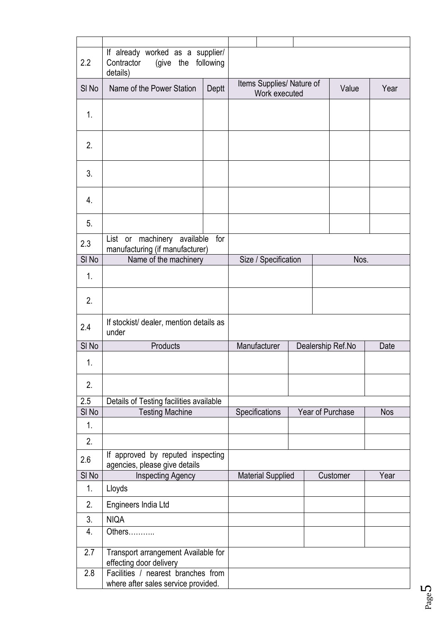| 2.2              | If already worked as a supplier/<br>Contractor<br>(give the<br>details)   | following                 |                          |                                   |                  |          |            |
|------------------|---------------------------------------------------------------------------|---------------------------|--------------------------|-----------------------------------|------------------|----------|------------|
| SI <sub>No</sub> | Name of the Power Station<br>Deptt                                        | Items Supplies/ Nature of | Work executed            |                                   | Value            | Year     |            |
| 1.               |                                                                           |                           |                          |                                   |                  |          |            |
| 2.               |                                                                           |                           |                          |                                   |                  |          |            |
| 3.               |                                                                           |                           |                          |                                   |                  |          |            |
| 4.               |                                                                           |                           |                          |                                   |                  |          |            |
| 5.               |                                                                           |                           |                          |                                   |                  |          |            |
| 2.3              | machinery available<br>List<br>or<br>manufacturing (if manufacturer)      | for                       |                          |                                   |                  |          |            |
| $SI$ No          | Name of the machinery                                                     | Size / Specification      |                          |                                   | Nos.             |          |            |
| 1.               |                                                                           |                           |                          |                                   |                  |          |            |
| 2.               |                                                                           |                           |                          |                                   |                  |          |            |
| 2.4              | If stockist/ dealer, mention details as<br>under                          |                           |                          |                                   |                  |          |            |
| SI <sub>No</sub> | Products                                                                  |                           |                          | Manufacturer<br>Dealership Ref.No |                  |          | Date       |
| 1.               |                                                                           |                           |                          |                                   |                  |          |            |
| 2.               |                                                                           |                           |                          |                                   |                  |          |            |
| 2.5              | Details of Testing facilities available                                   |                           |                          |                                   |                  |          |            |
| SI <sub>No</sub> | <b>Testing Machine</b>                                                    |                           | Specifications           |                                   | Year of Purchase |          | <b>Nos</b> |
| 1.               |                                                                           |                           |                          |                                   |                  |          |            |
| 2.               |                                                                           |                           |                          |                                   |                  |          |            |
| 2.6              | If approved by reputed inspecting<br>agencies, please give details        |                           |                          |                                   |                  |          |            |
| SI <sub>No</sub> | Inspecting Agency                                                         |                           | <b>Material Supplied</b> |                                   |                  | Customer | Year       |
| 1.               | Lloyds                                                                    |                           |                          |                                   |                  |          |            |
| 2.               | Engineers India Ltd                                                       |                           |                          |                                   |                  |          |            |
| 3.               | <b>NIQA</b>                                                               |                           |                          |                                   |                  |          |            |
| 4.               | Others                                                                    |                           |                          |                                   |                  |          |            |
| 2.7              | Transport arrangement Available for<br>effecting door delivery            |                           |                          |                                   |                  |          |            |
| 2.8              | Facilities / nearest branches from<br>where after sales service provided. |                           |                          |                                   |                  |          |            |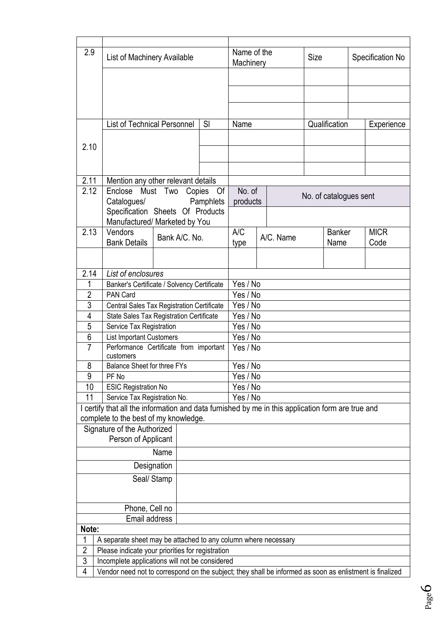| 2.9                                                                 | List of Machinery Available                                                                                                       |                    |           | Name of the<br>Machinery |  |           | Size                        |                        | Specification No |             |  |  |
|---------------------------------------------------------------------|-----------------------------------------------------------------------------------------------------------------------------------|--------------------|-----------|--------------------------|--|-----------|-----------------------------|------------------------|------------------|-------------|--|--|
|                                                                     |                                                                                                                                   |                    |           |                          |  |           |                             |                        |                  |             |  |  |
|                                                                     |                                                                                                                                   |                    |           |                          |  |           |                             |                        |                  |             |  |  |
|                                                                     |                                                                                                                                   |                    |           |                          |  |           |                             |                        |                  |             |  |  |
|                                                                     |                                                                                                                                   |                    |           |                          |  |           |                             |                        |                  |             |  |  |
|                                                                     | <b>List of Technical Personnel</b>                                                                                                |                    | SI        | Name                     |  |           | Qualification<br>Experience |                        |                  |             |  |  |
|                                                                     |                                                                                                                                   |                    |           |                          |  |           |                             |                        |                  |             |  |  |
| 2.10                                                                |                                                                                                                                   |                    |           |                          |  |           |                             |                        |                  |             |  |  |
|                                                                     |                                                                                                                                   |                    |           |                          |  |           |                             |                        |                  |             |  |  |
|                                                                     |                                                                                                                                   |                    |           |                          |  |           |                             |                        |                  |             |  |  |
| 2.11                                                                | Mention any other relevant details                                                                                                |                    |           |                          |  |           |                             |                        |                  |             |  |  |
| 2.12                                                                | Enclose                                                                                                                           | Must Two<br>Copies | Of        | No. of                   |  |           |                             |                        |                  |             |  |  |
|                                                                     | Catalogues/                                                                                                                       |                    | Pamphlets | products                 |  |           |                             | No. of catalogues sent |                  |             |  |  |
|                                                                     | Specification Sheets Of Products                                                                                                  |                    |           |                          |  |           |                             |                        |                  |             |  |  |
|                                                                     | Manufactured/ Marketed by You                                                                                                     |                    |           |                          |  |           |                             |                        |                  |             |  |  |
| 2.13                                                                | Vendors                                                                                                                           | Bank A/C, No.      |           | A/C                      |  | A/C. Name | <b>Banker</b><br>Name       |                        |                  | <b>MICR</b> |  |  |
|                                                                     | <b>Bank Details</b>                                                                                                               |                    |           | type                     |  |           |                             |                        |                  | Code        |  |  |
|                                                                     |                                                                                                                                   |                    |           |                          |  |           |                             |                        |                  |             |  |  |
|                                                                     |                                                                                                                                   |                    |           |                          |  |           |                             |                        |                  |             |  |  |
| 2.14<br>1                                                           | List of enclosures                                                                                                                |                    |           | Yes / No                 |  |           |                             |                        |                  |             |  |  |
| $\overline{2}$                                                      | Banker's Certificate / Solvency Certificate<br>PAN Card                                                                           | Yes / No           |           |                          |  |           |                             |                        |                  |             |  |  |
| $\overline{3}$                                                      | Central Sales Tax Registration Certificate                                                                                        | Yes / No           |           |                          |  |           |                             |                        |                  |             |  |  |
| 4                                                                   | State Sales Tax Registration Certificate                                                                                          | Yes / No           |           |                          |  |           |                             |                        |                  |             |  |  |
| $\overline{5}$                                                      | Service Tax Registration                                                                                                          | Yes / No           |           |                          |  |           |                             |                        |                  |             |  |  |
| 6                                                                   | <b>List Important Customers</b>                                                                                                   |                    |           | Yes / No                 |  |           |                             |                        |                  |             |  |  |
| $\overline{7}$                                                      | Performance Certificate from important                                                                                            |                    |           | Yes / No                 |  |           |                             |                        |                  |             |  |  |
|                                                                     | customers                                                                                                                         |                    |           |                          |  |           |                             |                        |                  |             |  |  |
| 8                                                                   | Balance Sheet for three FYs                                                                                                       |                    |           | Yes / No<br>Yes / No     |  |           |                             |                        |                  |             |  |  |
| 9                                                                   | PF No                                                                                                                             |                    |           |                          |  |           |                             |                        |                  |             |  |  |
| 10                                                                  | <b>ESIC Registration No</b>                                                                                                       |                    |           | Yes / No                 |  |           |                             |                        |                  |             |  |  |
| 11                                                                  | Service Tax Registration No.<br>I certify that all the information and data furnished by me in this application form are true and |                    |           | Yes / No                 |  |           |                             |                        |                  |             |  |  |
|                                                                     | complete to the best of my knowledge.                                                                                             |                    |           |                          |  |           |                             |                        |                  |             |  |  |
|                                                                     | Signature of the Authorized                                                                                                       |                    |           |                          |  |           |                             |                        |                  |             |  |  |
|                                                                     | Person of Applicant                                                                                                               |                    |           |                          |  |           |                             |                        |                  |             |  |  |
|                                                                     |                                                                                                                                   | Name               |           |                          |  |           |                             |                        |                  |             |  |  |
|                                                                     |                                                                                                                                   |                    |           |                          |  |           |                             |                        |                  |             |  |  |
| Designation                                                         |                                                                                                                                   |                    |           |                          |  |           |                             |                        |                  |             |  |  |
| Seal/ Stamp                                                         |                                                                                                                                   |                    |           |                          |  |           |                             |                        |                  |             |  |  |
|                                                                     |                                                                                                                                   |                    |           |                          |  |           |                             |                        |                  |             |  |  |
| Phone, Cell no                                                      |                                                                                                                                   |                    |           |                          |  |           |                             |                        |                  |             |  |  |
|                                                                     | Email address                                                                                                                     |                    |           |                          |  |           |                             |                        |                  |             |  |  |
| Note:                                                               |                                                                                                                                   |                    |           |                          |  |           |                             |                        |                  |             |  |  |
| 1<br>A separate sheet may be attached to any column where necessary |                                                                                                                                   |                    |           |                          |  |           |                             |                        |                  |             |  |  |
| $\overline{2}$<br>Please indicate your priorities for registration  |                                                                                                                                   |                    |           |                          |  |           |                             |                        |                  |             |  |  |
| $\overline{3}$                                                      | Incomplete applications will not be considered                                                                                    |                    |           |                          |  |           |                             |                        |                  |             |  |  |
| 4                                                                   | Vendor need not to correspond on the subject; they shall be informed as soon as enlistment is finalized                           |                    |           |                          |  |           |                             |                        |                  |             |  |  |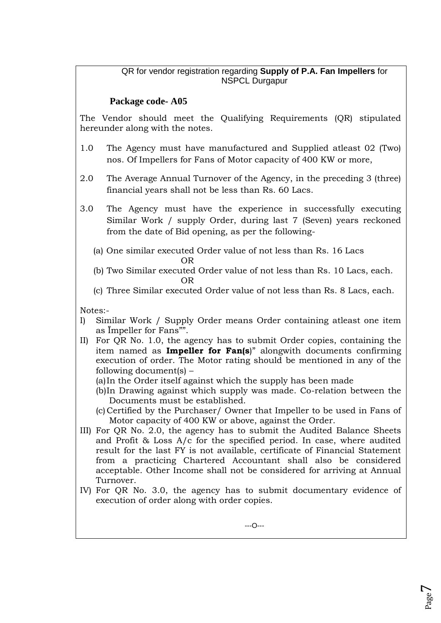## QR for vendor registration regarding **Supply of P.A. Fan Impellers** for NSPCL Durgapur

# **Package code- A05**

The Vendor should meet the Qualifying Requirements (QR) stipulated hereunder along with the notes.

- 1.0 The Agency must have manufactured and Supplied atleast 02 (Two) nos. Of Impellers for Fans of Motor capacity of 400 KW or more,
- 2.0 The Average Annual Turnover of the Agency, in the preceding 3 (three) financial years shall not be less than Rs. 60 Lacs.
- 3.0 The Agency must have the experience in successfully executing Similar Work / supply Order, during last 7 (Seven) years reckoned from the date of Bid opening, as per the following-
- (a) One similar executed Order value of not less than Rs. 16 Lacs OR
- (b) Two Similar executed Order value of not less than Rs. 10 Lacs, each. OR
	- (c) Three Similar executed Order value of not less than Rs. 8 Lacs, each.

Notes:-

- I) Similar Work / Supply Order means Order containing atleast one item as Ïmpeller for Fans"".
- II) For QR No. 1.0, the agency has to submit Order copies, containing the item named as **Impeller for Fan(s**)" alongwith documents confirming execution of order. The Motor rating should be mentioned in any of the following document(s) –
	- (a)In the Order itself against which the supply has been made
	- (b)In Drawing against which supply was made. Co-relation between the Documents must be established.
	- (c) Certified by the Purchaser/ Owner that Impeller to be used in Fans of Motor capacity of 400 KW or above, against the Order.
- III) For QR No. 2.0, the agency has to submit the Audited Balance Sheets and Profit & Loss A/c for the specified period. In case, where audited result for the last FY is not available, certificate of Financial Statement from a practicing Chartered Accountant shall also be considered acceptable. Other Income shall not be considered for arriving at Annual Turnover.
- IV) For QR No. 3.0, the agency has to submit documentary evidence of execution of order along with order copies.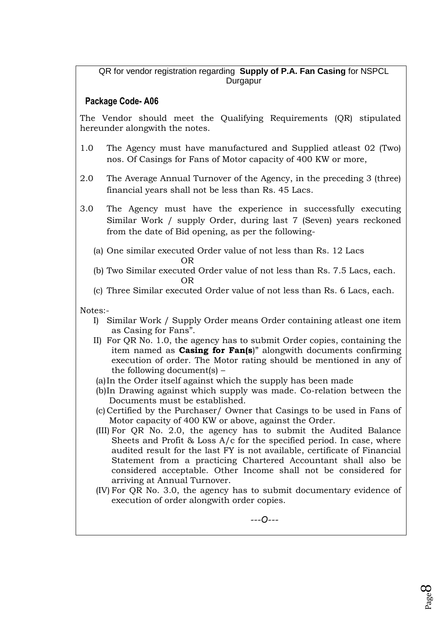## QR for vendor registration regarding **Supply of P.A. Fan Casing** for NSPCL Durgapur

# **Package Code- A06**

The Vendor should meet the Qualifying Requirements (QR) stipulated hereunder alongwith the notes.

- 1.0 The Agency must have manufactured and Supplied atleast 02 (Two) nos. Of Casings for Fans of Motor capacity of 400 KW or more,
- 2.0 The Average Annual Turnover of the Agency, in the preceding 3 (three) financial years shall not be less than Rs. 45 Lacs.
- 3.0 The Agency must have the experience in successfully executing Similar Work / supply Order, during last 7 (Seven) years reckoned from the date of Bid opening, as per the following-
- (a) One similar executed Order value of not less than Rs. 12 Lacs **OR** STREET IN THE STREET IS NOT THE STREET IN THE STREET IS NOT THE STREET IN THE STREET IS NOT THE STREET IN THE STREET IS NOT THE STREET IN THE STREET IS NOT THE STREET IN THE STREET IS NOT THE STREET IN THE STREET IS N
- (b) Two Similar executed Order value of not less than Rs. 7.5 Lacs, each. OR
	- (c) Three Similar executed Order value of not less than Rs. 6 Lacs, each.

Notes:-

- I) Similar Work / Supply Order means Order containing atleast one item as Casing for Fans".
- II) For QR No. 1.0, the agency has to submit Order copies, containing the item named as **Casing for Fan(s**)" alongwith documents confirming execution of order. The Motor rating should be mentioned in any of the following document(s) –
- (a)In the Order itself against which the supply has been made
- (b)In Drawing against which supply was made. Co-relation between the Documents must be established.
- (c) Certified by the Purchaser/ Owner that Casings to be used in Fans of Motor capacity of 400 KW or above, against the Order.
- (III) For QR No. 2.0, the agency has to submit the Audited Balance Sheets and Profit & Loss A/c for the specified period. In case, where audited result for the last FY is not available, certificate of Financial Statement from a practicing Chartered Accountant shall also be considered acceptable. Other Income shall not be considered for arriving at Annual Turnover.
- (IV) For QR No. 3.0, the agency has to submit documentary evidence of execution of order alongwith order copies.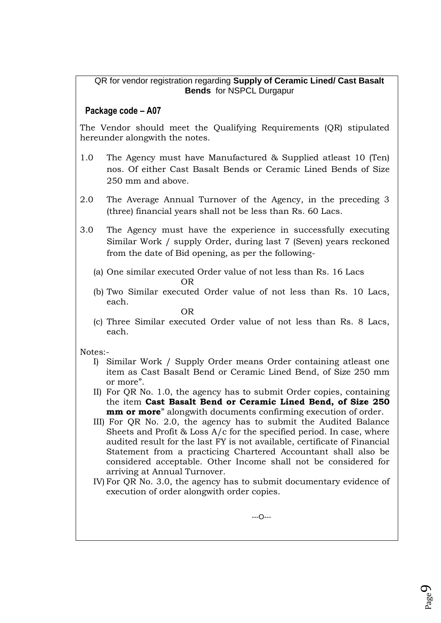QR for vendor registration regarding **Supply of Ceramic Lined/ Cast Basalt Bends** for NSPCL Durgapur

## **Package code – A07**

The Vendor should meet the Qualifying Requirements (QR) stipulated hereunder alongwith the notes.

- 1.0 The Agency must have Manufactured & Supplied atleast 10 (Ten) nos. Of either Cast Basalt Bends or Ceramic Lined Bends of Size 250 mm and above.
- 2.0 The Average Annual Turnover of the Agency, in the preceding 3 (three) financial years shall not be less than Rs. 60 Lacs.
- 3.0 The Agency must have the experience in successfully executing Similar Work / supply Order, during last 7 (Seven) years reckoned from the date of Bid opening, as per the following-
- (a) One similar executed Order value of not less than Rs. 16 Lacs OR
	- (b) Two Similar executed Order value of not less than Rs. 10 Lacs, each.
- **OR** STREET IN THE STREET IS NOT THE STREET IN THE STREET IS NOT THE STREET IN THE STREET IS NOT THE STREET IN THE STREET IS NOT THE STREET IN THE STREET IS NOT THE STREET IN THE STREET IS NOT THE STREET IN THE STREET IS N (c) Three Similar executed Order value of not less than Rs. 8 Lacs, each.

Notes:-

- I) Similar Work / Supply Order means Order containing atleast one item as Cast Basalt Bend or Ceramic Lined Bend, of Size 250 mm or more".
- II) For QR No. 1.0, the agency has to submit Order copies, containing the item **Cast Basalt Bend or Ceramic Lined Bend, of Size 250 mm or more**" alongwith documents confirming execution of order.
- III) For QR No. 2.0, the agency has to submit the Audited Balance Sheets and Profit  $\&$  Loss A/c for the specified period. In case, where audited result for the last FY is not available, certificate of Financial Statement from a practicing Chartered Accountant shall also be considered acceptable. Other Income shall not be considered for arriving at Annual Turnover.
- IV) For QR No. 3.0, the agency has to submit documentary evidence of execution of order alongwith order copies.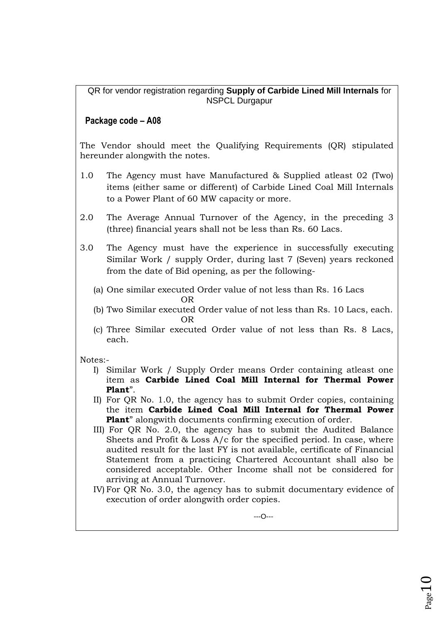QR for vendor registration regarding **Supply of Carbide Lined Mill Internals** for NSPCL Durgapur

# **Package code – A08**

The Vendor should meet the Qualifying Requirements (QR) stipulated hereunder alongwith the notes.

- 1.0 The Agency must have Manufactured & Supplied atleast 02 (Two) items (either same or different) of Carbide Lined Coal Mill Internals to a Power Plant of 60 MW capacity or more.
- 2.0 The Average Annual Turnover of the Agency, in the preceding 3 (three) financial years shall not be less than Rs. 60 Lacs.
- 3.0 The Agency must have the experience in successfully executing Similar Work / supply Order, during last 7 (Seven) years reckoned from the date of Bid opening, as per the following-
- (a) One similar executed Order value of not less than Rs. 16 Lacs OR
- (b) Two Similar executed Order value of not less than Rs. 10 Lacs, each. OR
	- (c) Three Similar executed Order value of not less than Rs. 8 Lacs, each.

Notes:-

- I) Similar Work / Supply Order means Order containing atleast one item as **Carbide Lined Coal Mill Internal for Thermal Power Plant**".
- II) For QR No. 1.0, the agency has to submit Order copies, containing the item **Carbide Lined Coal Mill Internal for Thermal Power Plant**" alongwith documents confirming execution of order.
- III) For QR No. 2.0, the agency has to submit the Audited Balance Sheets and Profit & Loss A/c for the specified period. In case, where audited result for the last FY is not available, certificate of Financial Statement from a practicing Chartered Accountant shall also be considered acceptable. Other Income shall not be considered for arriving at Annual Turnover.
- IV) For QR No. 3.0, the agency has to submit documentary evidence of execution of order alongwith order copies.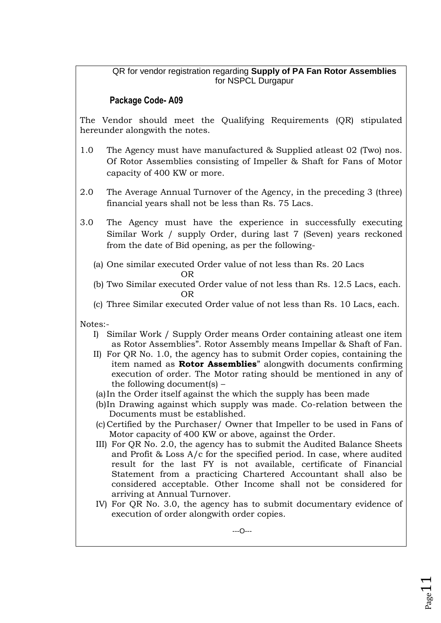## QR for vendor registration regarding **Supply of PA Fan Rotor Assemblies** for NSPCL Durgapur

# **Package Code- A09**

The Vendor should meet the Qualifying Requirements (QR) stipulated hereunder alongwith the notes.

- 1.0 The Agency must have manufactured & Supplied atleast 02 (Two) nos. Of Rotor Assemblies consisting of Impeller & Shaft for Fans of Motor capacity of 400 KW or more.
- 2.0 The Average Annual Turnover of the Agency, in the preceding 3 (three) financial years shall not be less than Rs. 75 Lacs.
- 3.0 The Agency must have the experience in successfully executing Similar Work / supply Order, during last 7 (Seven) years reckoned from the date of Bid opening, as per the following-
- (a) One similar executed Order value of not less than Rs. 20 Lacs OR
- (b) Two Similar executed Order value of not less than Rs. 12.5 Lacs, each. OR
	- (c) Three Similar executed Order value of not less than Rs. 10 Lacs, each.

- I) Similar Work / Supply Order means Order containing atleast one item as Rotor Assemblies". Rotor Assembly means Impellar & Shaft of Fan.
- II) For QR No. 1.0, the agency has to submit Order copies, containing the item named as **Rotor Assemblies**" alongwith documents confirming execution of order. The Motor rating should be mentioned in any of the following document(s) –
- (a)In the Order itself against the which the supply has been made
- (b)In Drawing against which supply was made. Co-relation between the Documents must be established.
- (c) Certified by the Purchaser/ Owner that Impeller to be used in Fans of Motor capacity of 400 KW or above, against the Order.
- III) For QR No. 2.0, the agency has to submit the Audited Balance Sheets and Profit & Loss A/c for the specified period. In case, where audited result for the last FY is not available, certificate of Financial Statement from a practicing Chartered Accountant shall also be considered acceptable. Other Income shall not be considered for arriving at Annual Turnover.
- IV) For QR No. 3.0, the agency has to submit documentary evidence of execution of order alongwith order copies.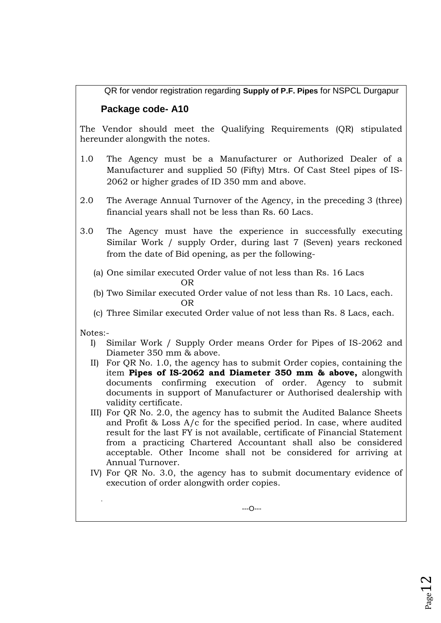QR for vendor registration regarding **Supply of P.F. Pipes** for NSPCL Durgapur

# **Package code- A10**

The Vendor should meet the Qualifying Requirements (QR) stipulated hereunder alongwith the notes.

- 1.0 The Agency must be a Manufacturer or Authorized Dealer of a Manufacturer and supplied 50 (Fifty) Mtrs. Of Cast Steel pipes of IS-2062 or higher grades of ID 350 mm and above.
- 2.0 The Average Annual Turnover of the Agency, in the preceding 3 (three) financial years shall not be less than Rs. 60 Lacs.
- 3.0 The Agency must have the experience in successfully executing Similar Work / supply Order, during last 7 (Seven) years reckoned from the date of Bid opening, as per the following-
- (a) One similar executed Order value of not less than Rs. 16 Lacs OR
- (b) Two Similar executed Order value of not less than Rs. 10 Lacs, each. OR
	- (c) Three Similar executed Order value of not less than Rs. 8 Lacs, each.

Notes:-

.

- I) Similar Work / Supply Order means Order for Pipes of IS-2062 and Diameter 350 mm & above.
- II) For QR No. 1.0, the agency has to submit Order copies, containing the item **Pipes of IS-2062 and Diameter 350 mm & above,** alongwith documents confirming execution of order. Agency to submit documents in support of Manufacturer or Authorised dealership with validity certificate.
- III) For QR No. 2.0, the agency has to submit the Audited Balance Sheets and Profit & Loss A/c for the specified period. In case, where audited result for the last FY is not available, certificate of Financial Statement from a practicing Chartered Accountant shall also be considered acceptable. Other Income shall not be considered for arriving at Annual Turnover.
- IV) For QR No. 3.0, the agency has to submit documentary evidence of execution of order alongwith order copies.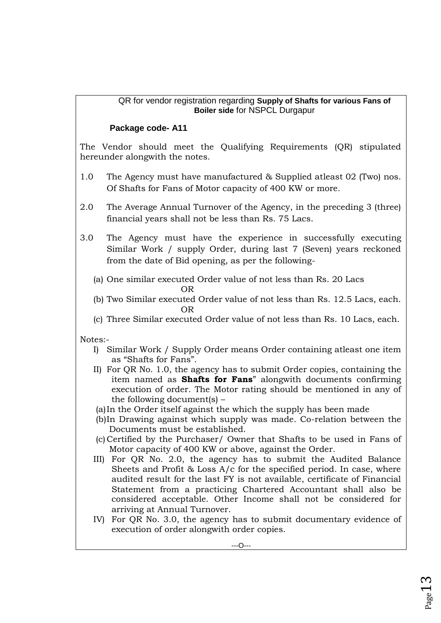## QR for vendor registration regarding **Supply of Shafts for various Fans of Boiler side** for NSPCL Durgapur

## **Package code- A11**

The Vendor should meet the Qualifying Requirements (QR) stipulated hereunder alongwith the notes.

- 1.0 The Agency must have manufactured & Supplied atleast 02 (Two) nos. Of Shafts for Fans of Motor capacity of 400 KW or more.
- 2.0 The Average Annual Turnover of the Agency, in the preceding 3 (three) financial years shall not be less than Rs. 75 Lacs.
- 3.0 The Agency must have the experience in successfully executing Similar Work / supply Order, during last 7 (Seven) years reckoned from the date of Bid opening, as per the following-
	- (a) One similar executed Order value of not less than Rs. 20 Lacs
- OR (b) Two Similar executed Order value of not less than Rs. 12.5 Lacs, each. OR
	- (c) Three Similar executed Order value of not less than Rs. 10 Lacs, each.

- I) Similar Work / Supply Order means Order containing atleast one item as "Shafts for Fans".
- II) For QR No. 1.0, the agency has to submit Order copies, containing the item named as **Shafts for Fans**" alongwith documents confirming execution of order. The Motor rating should be mentioned in any of the following document(s) –
- (a)In the Order itself against the which the supply has been made
- (b)In Drawing against which supply was made. Co-relation between the Documents must be established.
- (c) Certified by the Purchaser/ Owner that Shafts to be used in Fans of Motor capacity of 400 KW or above, against the Order.
- III) For QR No. 2.0, the agency has to submit the Audited Balance Sheets and Profit & Loss A/c for the specified period. In case, where audited result for the last FY is not available, certificate of Financial Statement from a practicing Chartered Accountant shall also be considered acceptable. Other Income shall not be considered for arriving at Annual Turnover.
- IV) For QR No. 3.0, the agency has to submit documentary evidence of execution of order alongwith order copies.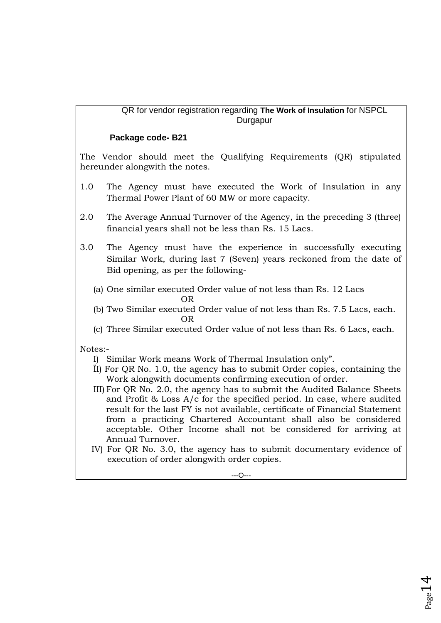## QR for vendor registration regarding **The Work of Insulation** for NSPCL Durgapur

## **Package code- B21**

The Vendor should meet the Qualifying Requirements (QR) stipulated hereunder alongwith the notes.

- 1.0 The Agency must have executed the Work of Insulation in any Thermal Power Plant of 60 MW or more capacity.
- 2.0 The Average Annual Turnover of the Agency, in the preceding 3 (three) financial years shall not be less than Rs. 15 Lacs.
- 3.0 The Agency must have the experience in successfully executing Similar Work, during last 7 (Seven) years reckoned from the date of Bid opening, as per the following-
	- (a) One similar executed Order value of not less than Rs. 12 Lacs
- OR
- (b) Two Similar executed Order value of not less than Rs. 7.5 Lacs, each. OR
	- (c) Three Similar executed Order value of not less than Rs. 6 Lacs, each.

- I) Similar Work means Work of Thermal Insulation only".
- ÏI) For QR No. 1.0, the agency has to submit Order copies, containing the Work alongwith documents confirming execution of order.
- III) For QR No. 2.0, the agency has to submit the Audited Balance Sheets and Profit & Loss A/c for the specified period. In case, where audited result for the last FY is not available, certificate of Financial Statement from a practicing Chartered Accountant shall also be considered acceptable. Other Income shall not be considered for arriving at Annual Turnover.
- IV) For QR No. 3.0, the agency has to submit documentary evidence of execution of order alongwith order copies.

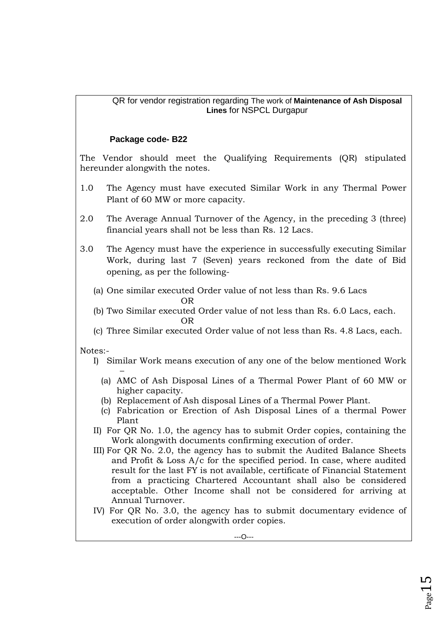## QR for vendor registration regarding The work of **Maintenance of Ash Disposal Lines** for NSPCL Durgapur

## **Package code- B22**

The Vendor should meet the Qualifying Requirements (QR) stipulated hereunder alongwith the notes.

- 1.0 The Agency must have executed Similar Work in any Thermal Power Plant of 60 MW or more capacity.
- 2.0 The Average Annual Turnover of the Agency, in the preceding 3 (three) financial years shall not be less than Rs. 12 Lacs.
- 3.0 The Agency must have the experience in successfully executing Similar Work, during last 7 (Seven) years reckoned from the date of Bid opening, as per the following-
- (a) One similar executed Order value of not less than Rs. 9.6 Lacs **OR** STREET IN THE STREET IS NOT THE STREET IN THE STREET IS NOT THE STREET IN THE STREET IS NOT THE STREET IN THE STREET IS NOT THE STREET IN THE STREET IS NOT THE STREET IN THE STREET IS NOT THE STREET IN THE STREET IS N
- (b) Two Similar executed Order value of not less than Rs. 6.0 Lacs, each. **OR** STREET IN THE STREET IS NOT THE STREET IN THE STREET IS NOT THE STREET IN THE STREET IS NOT THE STREET IN THE STREET IS NOT THE STREET IN THE STREET IS NOT THE STREET IN THE STREET IS NOT THE STREET IN THE STREET IS N
	- (c) Three Similar executed Order value of not less than Rs. 4.8 Lacs, each.

- I) Similar Work means execution of any one of the below mentioned Work
	- (a) AMC of Ash Disposal Lines of a Thermal Power Plant of 60 MW or higher capacity.
	- (b) Replacement of Ash disposal Lines of a Thermal Power Plant.
	- (c) Fabrication or Erection of Ash Disposal Lines of a thermal Power Plant
- II) For QR No. 1.0, the agency has to submit Order copies, containing the Work alongwith documents confirming execution of order.
- III) For QR No. 2.0, the agency has to submit the Audited Balance Sheets and Profit & Loss A/c for the specified period. In case, where audited result for the last FY is not available, certificate of Financial Statement from a practicing Chartered Accountant shall also be considered acceptable. Other Income shall not be considered for arriving at Annual Turnover.
- IV) For QR No. 3.0, the agency has to submit documentary evidence of execution of order alongwith order copies.